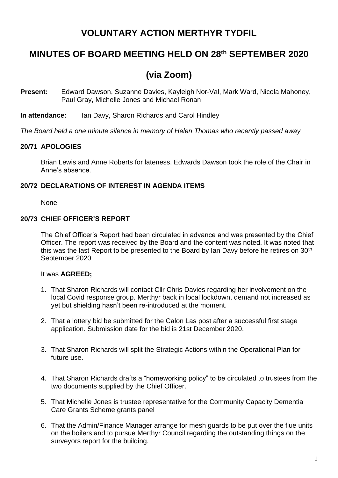# **VOLUNTARY ACTION MERTHYR TYDFIL**

# **MINUTES OF BOARD MEETING HELD ON 28 th SEPTEMBER 2020**

# **(via Zoom)**

- **Present:** Edward Dawson, Suzanne Davies, Kayleigh Nor-Val, Mark Ward, Nicola Mahoney, Paul Gray, Michelle Jones and Michael Ronan
- **In attendance:** Ian Davy, Sharon Richards and Carol Hindley

*The Board held a one minute silence in memory of Helen Thomas who recently passed away*

## **20/71 APOLOGIES**

Brian Lewis and Anne Roberts for lateness. Edwards Dawson took the role of the Chair in Anne's absence.

## **20/72 DECLARATIONS OF INTEREST IN AGENDA ITEMS**

**None** 

## **20/73 CHIEF OFFICER'S REPORT**

The Chief Officer's Report had been circulated in advance and was presented by the Chief Officer. The report was received by the Board and the content was noted. It was noted that this was the last Report to be presented to the Board by Ian Davy before he retires on 30<sup>th</sup> September 2020

## It was **AGREED;**

- 1. That Sharon Richards will contact Cllr Chris Davies regarding her involvement on the local Covid response group. Merthyr back in local lockdown, demand not increased as yet but shielding hasn't been re-introduced at the moment.
- 2. That a lottery bid be submitted for the Calon Las post after a successful first stage application. Submission date for the bid is 21st December 2020.
- 3. That Sharon Richards will split the Strategic Actions within the Operational Plan for future use.
- 4. That Sharon Richards drafts a "homeworking policy" to be circulated to trustees from the two documents supplied by the Chief Officer.
- 5. That Michelle Jones is trustee representative for the Community Capacity Dementia Care Grants Scheme grants panel
- 6. That the Admin/Finance Manager arrange for mesh guards to be put over the flue units on the boilers and to pursue Merthyr Council regarding the outstanding things on the surveyors report for the building.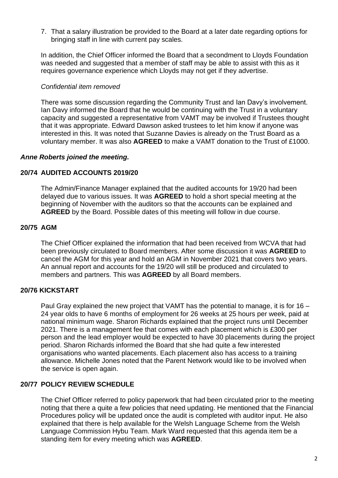7. That a salary illustration be provided to the Board at a later date regarding options for bringing staff in line with current pay scales.

In addition, the Chief Officer informed the Board that a secondment to Lloyds Foundation was needed and suggested that a member of staff may be able to assist with this as it requires governance experience which Lloyds may not get if they advertise.

# *Confidential item removed*

There was some discussion regarding the Community Trust and Ian Davy's involvement. Ian Davy informed the Board that he would be continuing with the Trust in a voluntary capacity and suggested a representative from VAMT may be involved if Trustees thought that it was appropriate. Edward Dawson asked trustees to let him know if anyone was interested in this. It was noted that Suzanne Davies is already on the Trust Board as a voluntary member. It was also **AGREED** to make a VAMT donation to the Trust of £1000.

# *Anne Roberts joined the meeting.*

# **20/74 AUDITED ACCOUNTS 2019/20**

The Admin/Finance Manager explained that the audited accounts for 19/20 had been delayed due to various issues. It was **AGREED** to hold a short special meeting at the beginning of November with the auditors so that the accounts can be explained and **AGREED** by the Board. Possible dates of this meeting will follow in due course.

# **20/75 AGM**

The Chief Officer explained the information that had been received from WCVA that had been previously circulated to Board members. After some discussion it was **AGREED** to cancel the AGM for this year and hold an AGM in November 2021 that covers two years. An annual report and accounts for the 19/20 will still be produced and circulated to members and partners. This was **AGREED** by all Board members.

# **20/76 KICKSTART**

Paul Gray explained the new project that VAMT has the potential to manage, it is for 16 – 24 year olds to have 6 months of employment for 26 weeks at 25 hours per week, paid at national minimum wage. Sharon Richards explained that the project runs until December 2021. There is a management fee that comes with each placement which is £300 per person and the lead employer would be expected to have 30 placements during the project period. Sharon Richards informed the Board that she had quite a few interested organisations who wanted placements. Each placement also has access to a training allowance. Michelle Jones noted that the Parent Network would like to be involved when the service is open again.

# **20/77 POLICY REVIEW SCHEDULE**

The Chief Officer referred to policy paperwork that had been circulated prior to the meeting noting that there a quite a few policies that need updating. He mentioned that the Financial Procedures policy will be updated once the audit is completed with auditor input. He also explained that there is help available for the Welsh Language Scheme from the Welsh Language Commission Hybu Team. Mark Ward requested that this agenda item be a standing item for every meeting which was **AGREED**.